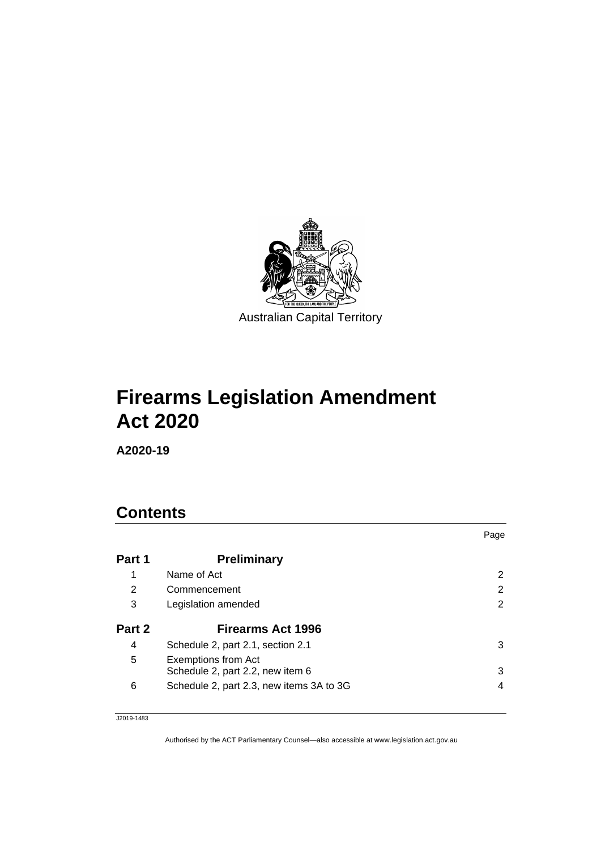

# **Firearms Legislation Amendment Act 2020**

**A2020-19**

# **Contents**

|        |                                                                | Page |
|--------|----------------------------------------------------------------|------|
| Part 1 | <b>Preliminary</b>                                             |      |
| 1      | Name of Act                                                    | 2    |
| 2      | Commencement                                                   | 2    |
| 3      | Legislation amended                                            | 2    |
| Part 2 | <b>Firearms Act 1996</b>                                       |      |
| 4      | Schedule 2, part 2.1, section 2.1                              | 3    |
| 5      | <b>Exemptions from Act</b><br>Schedule 2, part 2.2, new item 6 | 3    |
| 6      | Schedule 2, part 2.3, new items 3A to 3G                       | 4    |

J2019-1483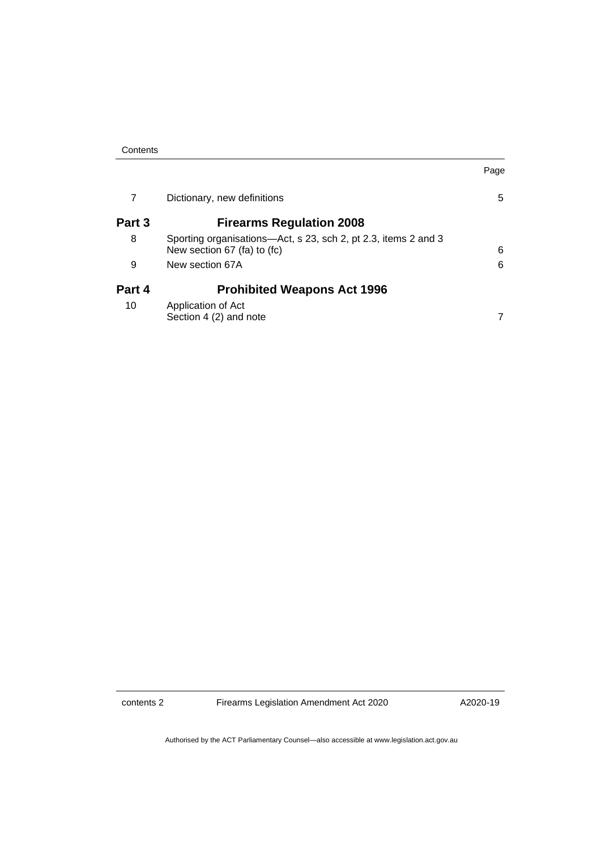| 7      | Dictionary, new definitions                                                                   | 5 |
|--------|-----------------------------------------------------------------------------------------------|---|
| Part 3 | <b>Firearms Regulation 2008</b>                                                               |   |
| 8      | Sporting organisations—Act, s 23, sch 2, pt 2.3, items 2 and 3<br>New section 67 (fa) to (fc) | 6 |
| 9      | New section 67A                                                                               | 6 |
| Part 4 | <b>Prohibited Weapons Act 1996</b>                                                            |   |
| 10     | Application of Act<br>Section 4 (2) and note                                                  | 7 |

contents 2 Firearms Legislation Amendment Act 2020

A2020-19

Page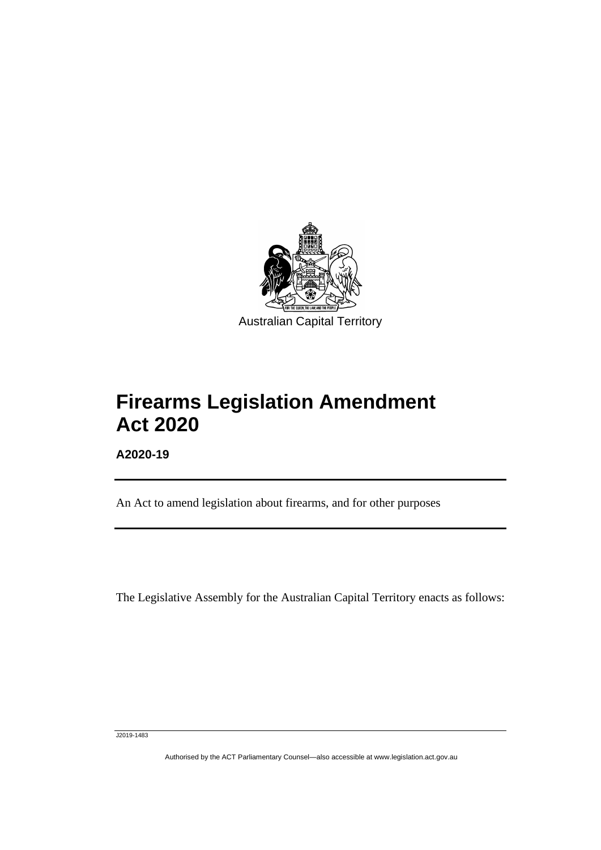

# **Firearms Legislation Amendment Act 2020**

**A2020-19**

ֺֺ֡

An Act to amend legislation about firearms, and for other purposes

The Legislative Assembly for the Australian Capital Territory enacts as follows:

J2019-1483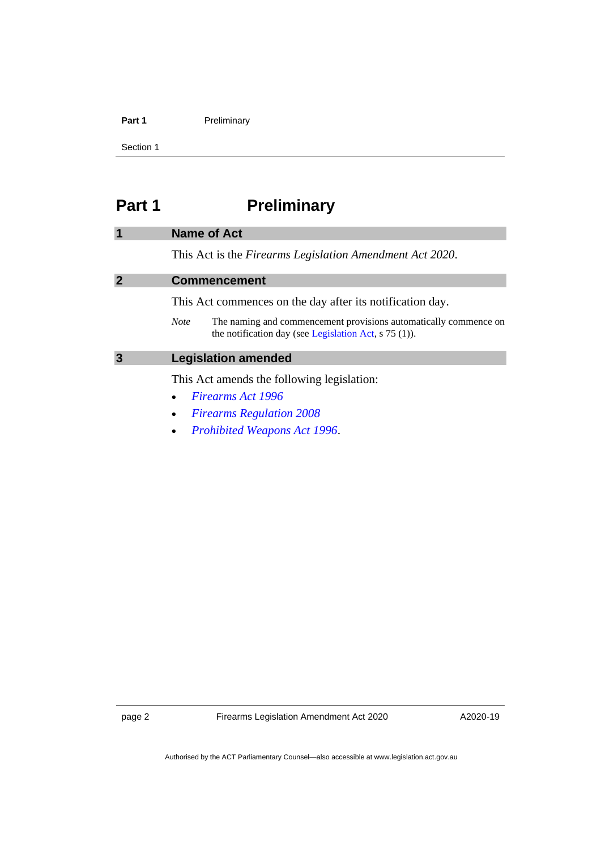#### Part 1 **Preliminary**

Section 1

# <span id="page-3-0"></span>**Part 1 Preliminary**

#### <span id="page-3-1"></span>**1 Name of Act**

This Act is the *Firearms Legislation Amendment Act 2020*.

#### <span id="page-3-2"></span>**2 Commencement**

This Act commences on the day after its notification day.

*Note* The naming and commencement provisions automatically commence on the notification day (see [Legislation Act,](http://www.legislation.act.gov.au/a/2001-14) s 75 (1)).

#### <span id="page-3-3"></span>**3 Legislation amended**

This Act amends the following legislation:

- *[Firearms Act 1996](http://www.legislation.act.gov.au/a/1996-74)*
- *[Firearms Regulation 2008](http://www.legislation.act.gov.au/sl/2008-55)*
- *[Prohibited Weapons Act 1996](http://www.legislation.act.gov.au/a/1996-75)*.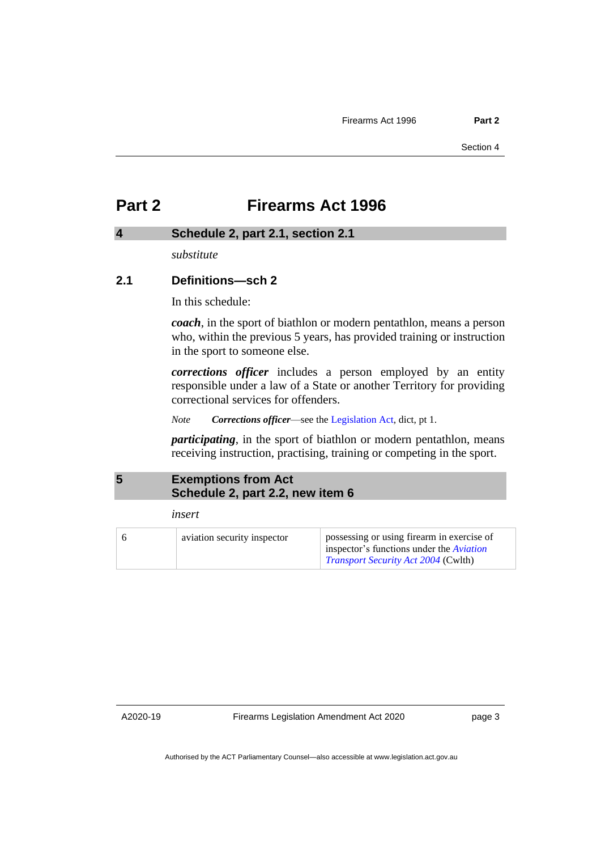# <span id="page-4-0"></span>**Part 2 Firearms Act 1996**

#### <span id="page-4-1"></span>**4 Schedule 2, part 2.1, section 2.1**

*substitute*

#### **2.1 Definitions—sch 2**

In this schedule:

*coach*, in the sport of biathlon or modern pentathlon, means a person who, within the previous 5 years, has provided training or instruction in the sport to someone else.

*corrections officer* includes a person employed by an entity responsible under a law of a State or another Territory for providing correctional services for offenders.

*Note Corrections officer*—see the [Legislation Act,](http://www.legislation.act.gov.au/a/2001-14) dict, pt 1.

*participating*, in the sport of biathlon or modern pentathlon, means receiving instruction, practising, training or competing in the sport.

### <span id="page-4-2"></span>**5 Exemptions from Act Schedule 2, part 2.2, new item 6**

*insert*

| aviation security inspector | possessing or using firearm in exercise of<br>inspector's functions under the <i>Aviation</i> |
|-----------------------------|-----------------------------------------------------------------------------------------------|
|                             | <i>Transport Security Act 2004</i> (Cwlth)                                                    |

A2020-19

Firearms Legislation Amendment Act 2020

page 3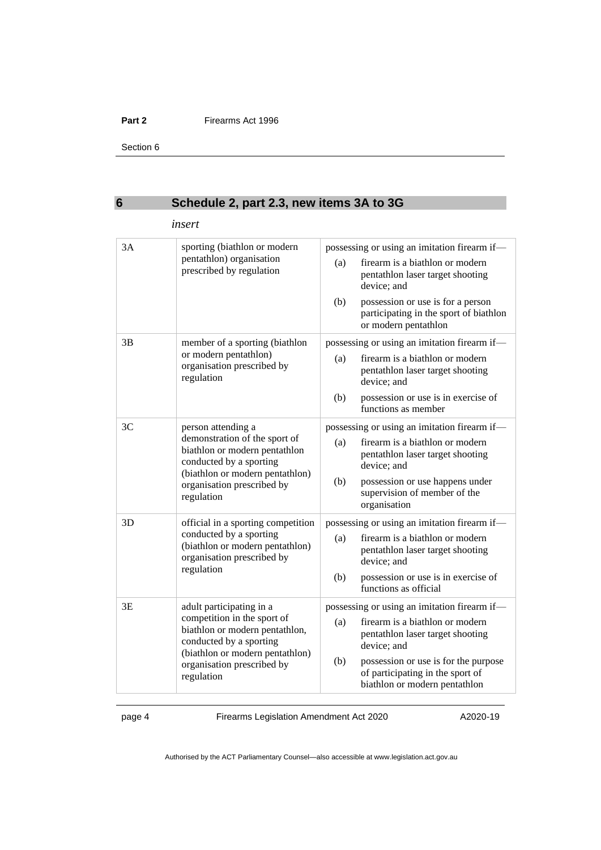#### **Part 2** Firearms Act 1996

Section 6

## <span id="page-5-0"></span>**6 Schedule 2, part 2.3, new items 3A to 3G**

|    | insert                                                                                                                                                                                              |            |                                                                                                                                                                         |
|----|-----------------------------------------------------------------------------------------------------------------------------------------------------------------------------------------------------|------------|-------------------------------------------------------------------------------------------------------------------------------------------------------------------------|
| 3A | sporting (biathlon or modern<br>pentathlon) organisation<br>prescribed by regulation                                                                                                                | (a)<br>(b) | possessing or using an imitation firearm if-<br>firearm is a biathlon or modern<br>pentathlon laser target shooting<br>device; and<br>possession or use is for a person |
|    |                                                                                                                                                                                                     |            | participating in the sport of biathlon<br>or modern pentathlon                                                                                                          |
| 3B | member of a sporting (biathlon<br>or modern pentathlon)<br>organisation prescribed by<br>regulation                                                                                                 |            | possessing or using an imitation firearm if-                                                                                                                            |
|    |                                                                                                                                                                                                     | (a)        | firearm is a biathlon or modern<br>pentathlon laser target shooting<br>device; and                                                                                      |
|    |                                                                                                                                                                                                     | (b)        | possession or use is in exercise of<br>functions as member                                                                                                              |
| 3C | person attending a<br>demonstration of the sport of<br>biathlon or modern pentathlon<br>conducted by a sporting<br>(biathlon or modern pentathlon)<br>organisation prescribed by<br>regulation      |            | possessing or using an imitation firearm if-                                                                                                                            |
|    |                                                                                                                                                                                                     | (a)        | firearm is a biathlon or modern<br>pentathlon laser target shooting<br>device; and                                                                                      |
|    |                                                                                                                                                                                                     | (b)        | possession or use happens under<br>supervision of member of the<br>organisation                                                                                         |
| 3D | official in a sporting competition<br>conducted by a sporting<br>(biathlon or modern pentathlon)<br>organisation prescribed by<br>regulation                                                        |            | possessing or using an imitation firearm if-                                                                                                                            |
|    |                                                                                                                                                                                                     | (a)        | firearm is a biathlon or modern<br>pentathlon laser target shooting<br>device; and                                                                                      |
|    |                                                                                                                                                                                                     | (b)        | possession or use is in exercise of<br>functions as official                                                                                                            |
| 3E | adult participating in a<br>competition in the sport of<br>biathlon or modern pentathlon,<br>conducted by a sporting<br>(biathlon or modern pentathlon)<br>organisation prescribed by<br>regulation |            | possessing or using an imitation firearm if-                                                                                                                            |
|    |                                                                                                                                                                                                     | (a)        | firearm is a biathlon or modern<br>pentathlon laser target shooting<br>device; and                                                                                      |
|    |                                                                                                                                                                                                     | (b)        | possession or use is for the purpose<br>of participating in the sport of<br>biathlon or modern pentathlon                                                               |

page 4 Firearms Legislation Amendment Act 2020

A2020-19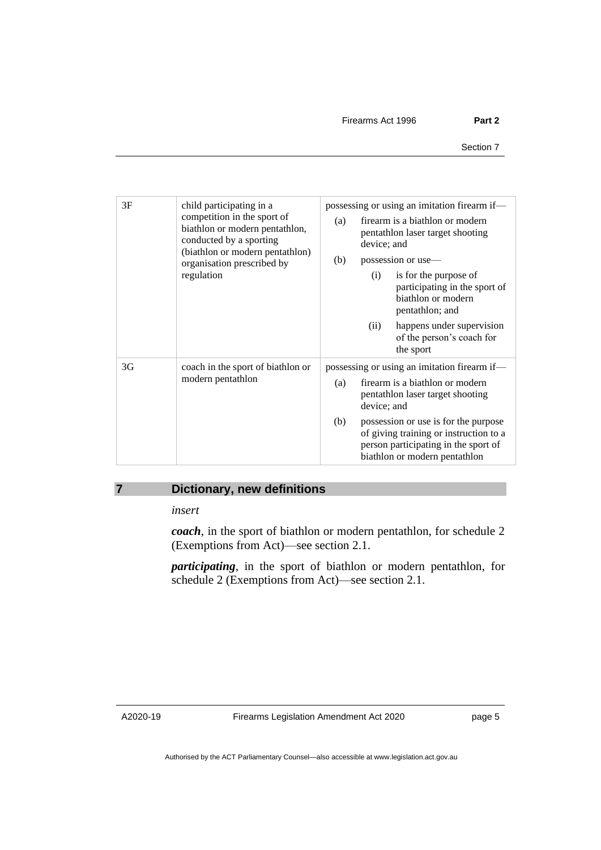| 3F | child participating in a<br>competition in the sport of<br>biathlon or modern pentathlon,<br>conducted by a sporting<br>(biathlon or modern pentathlon)<br>organisation prescribed by<br>regulation | possessing or using an imitation firearm if—<br>firearm is a biathlon or modern<br>(a)<br>pentathlon laser target shooting<br>device; and<br>possession or use-<br>(b)<br>is for the purpose of<br>(i)<br>participating in the sport of<br>biathlon or modern<br>pentathlon; and<br>happens under supervision<br>(ii)<br>of the person's coach for<br>the sport |
|----|-----------------------------------------------------------------------------------------------------------------------------------------------------------------------------------------------------|-----------------------------------------------------------------------------------------------------------------------------------------------------------------------------------------------------------------------------------------------------------------------------------------------------------------------------------------------------------------|
| 3G | coach in the sport of biathlon or<br>modern pentathlon                                                                                                                                              | possessing or using an imitation firearm if—<br>firearm is a biathlon or modern<br>(a)<br>pentathlon laser target shooting<br>device; and<br>possession or use is for the purpose<br>(b)<br>of giving training or instruction to a<br>person participating in the sport of<br>biathlon or modern pentathlon                                                     |

## <span id="page-6-0"></span>**7 Dictionary, new definitions**

*insert*

*coach*, in the sport of biathlon or modern pentathlon, for schedule 2 (Exemptions from Act)—see section 2.1.

*participating*, in the sport of biathlon or modern pentathlon, for schedule 2 (Exemptions from Act)—see section 2.1.

A2020-19

page 5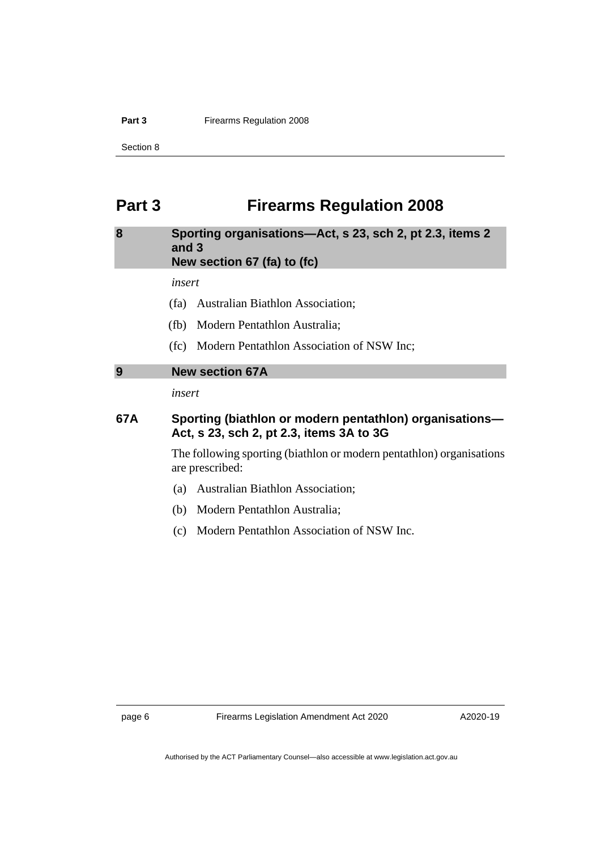#### **Part 3** Firearms Regulation 2008

Section 8

# <span id="page-7-0"></span>**Part 3 Firearms Regulation 2008**

#### <span id="page-7-1"></span>**8 Sporting organisations—Act, s 23, sch 2, pt 2.3, items 2 and 3 New section 67 (fa) to (fc)**

*insert*

- (fa) Australian Biathlon Association;
- (fb) Modern Pentathlon Australia;
- (fc) Modern Pentathlon Association of NSW Inc;

## <span id="page-7-2"></span>**9 New section 67A**

*insert*

### **67A Sporting (biathlon or modern pentathlon) organisations— Act, s 23, sch 2, pt 2.3, items 3A to 3G**

The following sporting (biathlon or modern pentathlon) organisations are prescribed:

- (a) Australian Biathlon Association;
- (b) Modern Pentathlon Australia;
- (c) Modern Pentathlon Association of NSW Inc.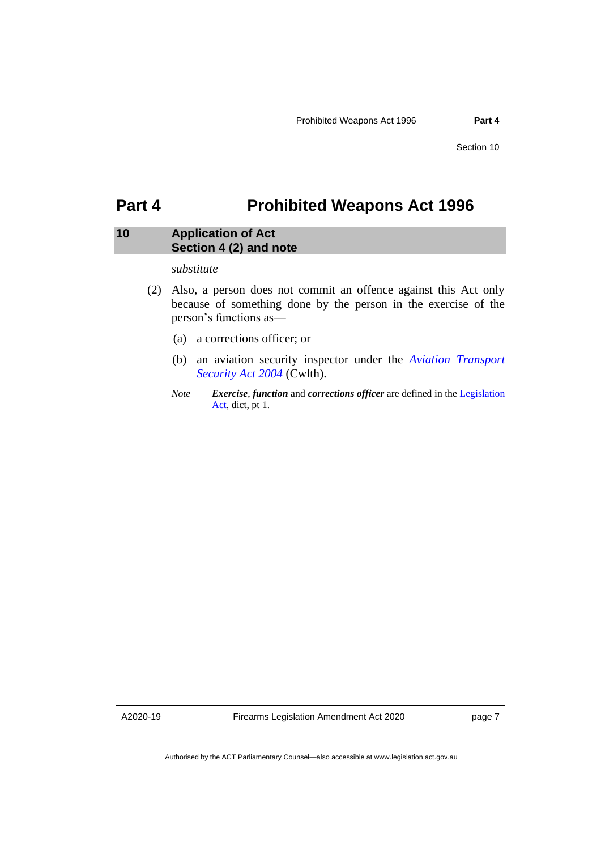Section 10

## <span id="page-8-0"></span>**Part 4 Prohibited Weapons Act 1996**

#### <span id="page-8-1"></span>**10 Application of Act Section 4 (2) and note**

#### *substitute*

- (2) Also, a person does not commit an offence against this Act only because of something done by the person in the exercise of the person's functions as—
	- (a) a corrections officer; or
	- (b) an aviation security inspector under the *[Aviation Transport](https://www.legislation.gov.au/Series/C2004A01242)  [Security Act 2004](https://www.legislation.gov.au/Series/C2004A01242)* (Cwlth).
	- *Note Exercise*, *function* and *corrections officer* are defined in the [Legislation](http://www.legislation.act.gov.au/a/2001-14)  [Act,](http://www.legislation.act.gov.au/a/2001-14) dict, pt 1.

A2020-19

Firearms Legislation Amendment Act 2020

page 7